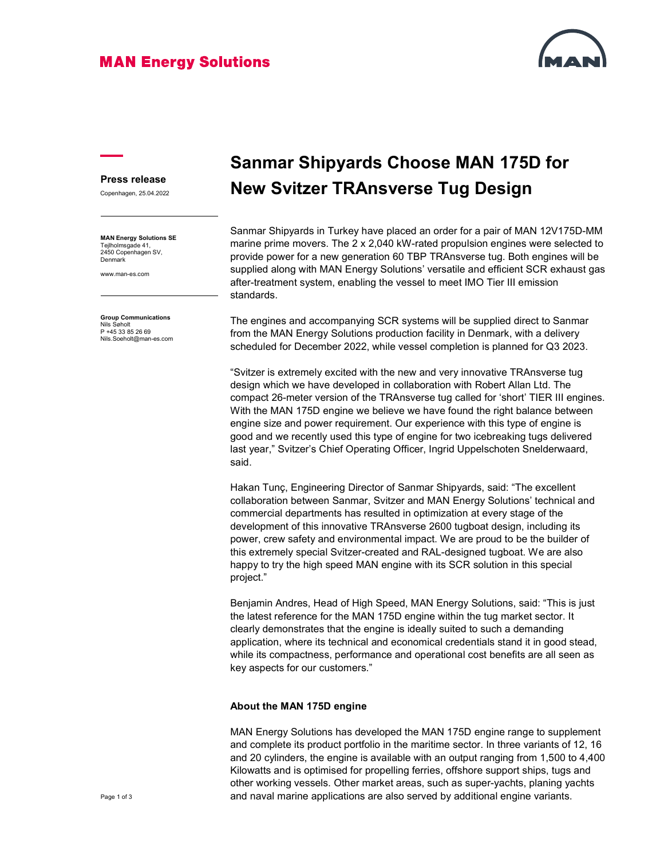### **MAN Energy Solutions**



### Press release

Copenhagen, 25.04.2022

MAN Energy Solutions SE Tejlholmsgade 41, 2450 Copenhagen SV, Denmark

www.man-es.com

Group Communications Nils Søholt P +45 33 85 26 69 Nils.Soeholt@man-es.com

# Sanmar Shipyards Choose MAN 175D for New Svitzer TRAnsverse Tug Design

Sanmar Shipyards in Turkey have placed an order for a pair of MAN 12V175D-MM marine prime movers. The 2 x 2,040 kW-rated propulsion engines were selected to provide power for a new generation 60 TBP TRAnsverse tug. Both engines will be supplied along with MAN Energy Solutions' versatile and efficient SCR exhaust gas after-treatment system, enabling the vessel to meet IMO Tier III emission standards.

The engines and accompanying SCR systems will be supplied direct to Sanmar from the MAN Energy Solutions production facility in Denmark, with a delivery scheduled for December 2022, while vessel completion is planned for Q3 2023.

"Svitzer is extremely excited with the new and very innovative TRAnsverse tug design which we have developed in collaboration with Robert Allan Ltd. The compact 26-meter version of the TRAnsverse tug called for 'short' TIER III engines. With the MAN 175D engine we believe we have found the right balance between engine size and power requirement. Our experience with this type of engine is good and we recently used this type of engine for two icebreaking tugs delivered last year," Svitzer's Chief Operating Officer, Ingrid Uppelschoten Snelderwaard, said.

Hakan Tunç, Engineering Director of Sanmar Shipyards, said: "The excellent collaboration between Sanmar, Svitzer and MAN Energy Solutions' technical and commercial departments has resulted in optimization at every stage of the development of this innovative TRAnsverse 2600 tugboat design, including its power, crew safety and environmental impact. We are proud to be the builder of this extremely special Svitzer-created and RAL-designed tugboat. We are also happy to try the high speed MAN engine with its SCR solution in this special project."

Benjamin Andres, Head of High Speed, MAN Energy Solutions, said: "This is just the latest reference for the MAN 175D engine within the tug market sector. It clearly demonstrates that the engine is ideally suited to such a demanding application, where its technical and economical credentials stand it in good stead, while its compactness, performance and operational cost benefits are all seen as key aspects for our customers."

#### About the MAN 175D engine

MAN Energy Solutions has developed the MAN 175D engine range to supplement and complete its product portfolio in the maritime sector. In three variants of 12, 16 and 20 cylinders, the engine is available with an output ranging from 1,500 to 4,400 Kilowatts and is optimised for propelling ferries, offshore support ships, tugs and other working vessels. Other market areas, such as super-yachts, planing yachts and naval marine applications are also served by additional engine variants.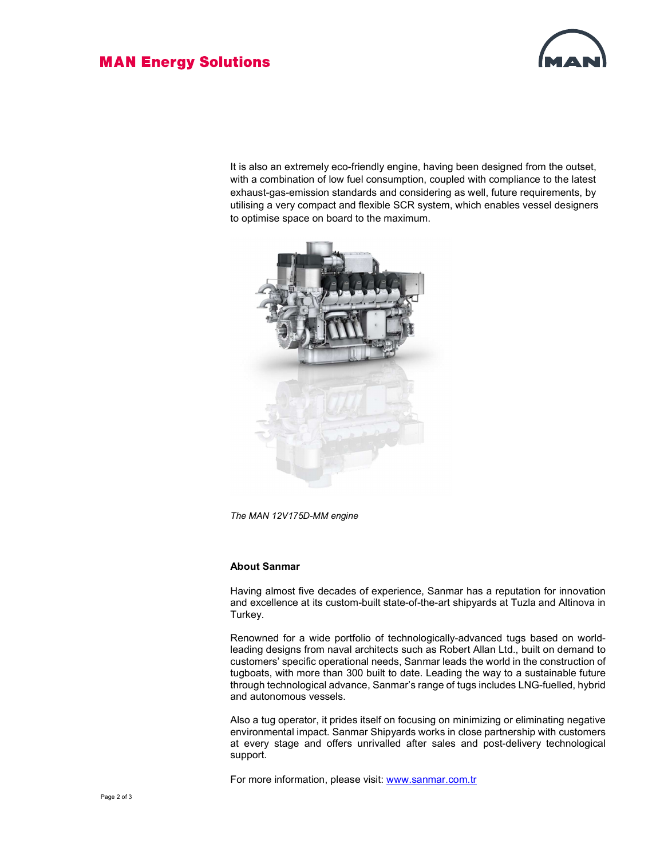### **MAN Energy Solutions**



It is also an extremely eco-friendly engine, having been designed from the outset, with a combination of low fuel consumption, coupled with compliance to the latest exhaust-gas-emission standards and considering as well, future requirements, by utilising a very compact and flexible SCR system, which enables vessel designers to optimise space on board to the maximum.



The MAN 12V175D-MM engine

#### About Sanmar

Having almost five decades of experience, Sanmar has a reputation for innovation and excellence at its custom-built state-of-the-art shipyards at Tuzla and Altinova in Turkey.

Renowned for a wide portfolio of technologically-advanced tugs based on worldleading designs from naval architects such as Robert Allan Ltd., built on demand to customers' specific operational needs, Sanmar leads the world in the construction of tugboats, with more than 300 built to date. Leading the way to a sustainable future through technological advance, Sanmar's range of tugs includes LNG-fuelled, hybrid and autonomous vessels.

Also a tug operator, it prides itself on focusing on minimizing or eliminating negative environmental impact. Sanmar Shipyards works in close partnership with customers at every stage and offers unrivalled after sales and post-delivery technological support.

For more information, please visit: www.sanmar.com.tr